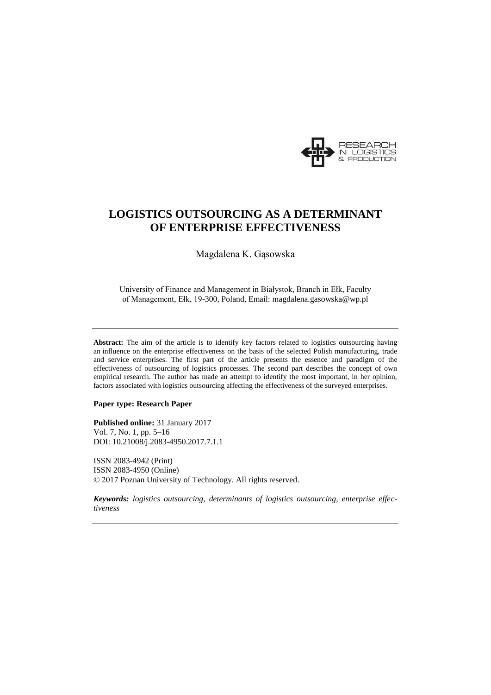

# **LOGISTICS OUTSOURCING AS A DETERMINANT OF ENTERPRISE EFFECTIVENESS**

Magdalena K. Gąsowska

University of Finance and Management in Białystok, Branch in Ełk, Faculty of Management, Ełk, 19-300, Poland, Email: magdalena.gasowska@wp.pl

**Abstract:** The aim of the article is to identify key factors related to logistics outsourcing having an influence on the enterprise effectiveness on the basis of the selected Polish manufacturing, trade and service enterprises. The first part of the article presents the essence and paradigm of the effectiveness of outsourcing of logistics processes. The second part describes the concept of own empirical research. The author has made an attempt to identify the most important, in her opinion, factors associated with logistics outsourcing affecting the effectiveness of the surveyed enterprises.

#### **Paper type: Research Paper**

**Published online:** 31 January 2017 Vol. 7, No. 1, pp. 5–16 DOI: 10.21008/j.2083-4950.2017.7.1.1

ISSN 2083-4942 (Print) ISSN 2083-4950 (Online) © 2017 Poznan University of Technology. All rights reserved.

*Keywords: logistics outsourcing, determinants of logistics outsourcing, enterprise effectiveness*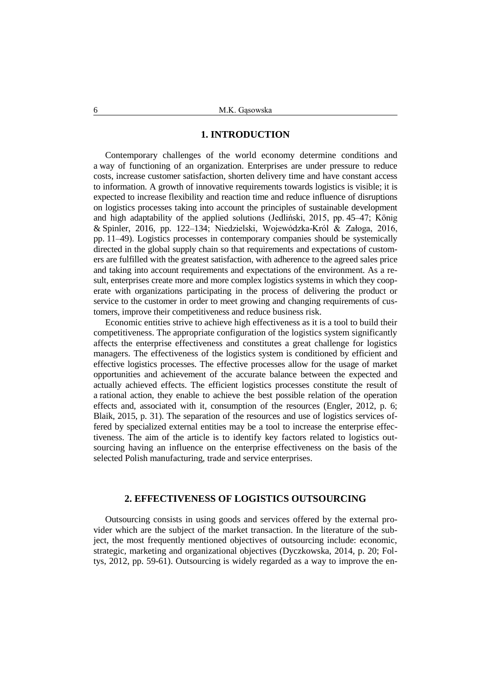### **1. INTRODUCTION**

Contemporary challenges of the world economy determine conditions and a way of functioning of an organization. Enterprises are under pressure to reduce costs, increase customer satisfaction, shorten delivery time and have constant access to information. A growth of innovative requirements towards logistics is visible; it is expected to increase flexibility and reaction time and reduce influence of disruptions on logistics processes taking into account the principles of sustainable development and high adaptability of the applied solutions (Jedliński, 2015, pp. 45–47; König & Spinler, 2016, pp. 122–134; Niedzielski, Wojewódzka-Król & Załoga, 2016, pp. 11–49). Logistics processes in contemporary companies should be systemically directed in the global supply chain so that requirements and expectations of customers are fulfilled with the greatest satisfaction, with adherence to the agreed sales price and taking into account requirements and expectations of the environment. As a result, enterprises create more and more complex logistics systems in which they cooperate with organizations participating in the process of delivering the product or service to the customer in order to meet growing and changing requirements of customers, improve their competitiveness and reduce business risk.

Economic entities strive to achieve high effectiveness as it is a tool to build their competitiveness. The appropriate configuration of the logistics system significantly affects the enterprise effectiveness and constitutes a great challenge for logistics managers. The effectiveness of the logistics system is conditioned by efficient and effective logistics processes. The effective processes allow for the usage of market opportunities and achievement of the accurate balance between the expected and actually achieved effects. The efficient logistics processes constitute the result of a rational action, they enable to achieve the best possible relation of the operation effects and, associated with it, consumption of the resources (Engler, 2012, p. 6; Blaik, 2015, p. 31). The separation of the resources and use of logistics services offered by specialized external entities may be a tool to increase the enterprise effectiveness. The aim of the article is to identify key factors related to logistics outsourcing having an influence on the enterprise effectiveness on the basis of the selected Polish manufacturing, trade and service enterprises.

### **2. EFFECTIVENESS OF LOGISTICS OUTSOURCING**

Outsourcing consists in using goods and services offered by the external provider which are the subject of the market transaction. In the literature of the subject, the most frequently mentioned objectives of outsourcing include: economic, strategic, marketing and organizational objectives (Dyczkowska, 2014, p. 20; Foltys, 2012, pp. 59-61). Outsourcing is widely regarded as a way to improve the en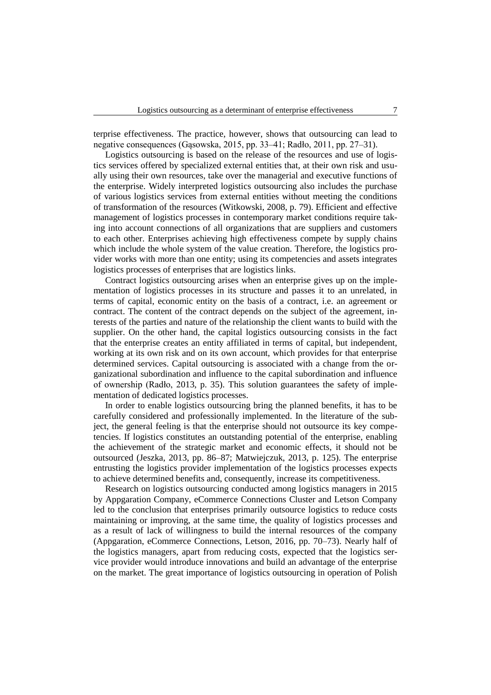terprise effectiveness. The practice, however, shows that outsourcing can lead to negative consequences (Gąsowska, 2015, pp. 33–41; Radło, 2011, pp. 27–31).

Logistics outsourcing is based on the release of the resources and use of logistics services offered by specialized external entities that, at their own risk and usually using their own resources, take over the managerial and executive functions of the enterprise. Widely interpreted logistics outsourcing also includes the purchase of various logistics services from external entities without meeting the conditions of transformation of the resources (Witkowski, 2008, p. 79). Efficient and effective management of logistics processes in contemporary market conditions require taking into account connections of all organizations that are suppliers and customers to each other. Enterprises achieving high effectiveness compete by supply chains which include the whole system of the value creation. Therefore, the logistics provider works with more than one entity; using its competencies and assets integrates logistics processes of enterprises that are logistics links.

Contract logistics outsourcing arises when an enterprise gives up on the implementation of logistics processes in its structure and passes it to an unrelated, in terms of capital, economic entity on the basis of a contract, i.e. an agreement or contract. The content of the contract depends on the subject of the agreement, interests of the parties and nature of the relationship the client wants to build with the supplier. On the other hand, the capital logistics outsourcing consists in the fact that the enterprise creates an entity affiliated in terms of capital, but independent, working at its own risk and on its own account, which provides for that enterprise determined services. Capital outsourcing is associated with a change from the organizational subordination and influence to the capital subordination and influence of ownership (Radło, 2013, p. 35). This solution guarantees the safety of implementation of dedicated logistics processes.

In order to enable logistics outsourcing bring the planned benefits, it has to be carefully considered and professionally implemented. In the literature of the subject, the general feeling is that the enterprise should not outsource its key competencies. If logistics constitutes an outstanding potential of the enterprise, enabling the achievement of the strategic market and economic effects, it should not be outsourced (Jeszka, 2013, pp. 86–87; Matwiejczuk, 2013, p. 125). The enterprise entrusting the logistics provider implementation of the logistics processes expects to achieve determined benefits and, consequently, increase its competitiveness.

Research on logistics outsourcing conducted among logistics managers in 2015 by Appgaration Company, eCommerce Connections Cluster and Letson Company led to the conclusion that enterprises primarily outsource logistics to reduce costs maintaining or improving, at the same time, the quality of logistics processes and as a result of lack of willingness to build the internal resources of the company (Appgaration, eCommerce Connections, Letson, 2016, pp. 70–73). Nearly half of the logistics managers, apart from reducing costs, expected that the logistics service provider would introduce innovations and build an advantage of the enterprise on the market. The great importance of logistics outsourcing in operation of Polish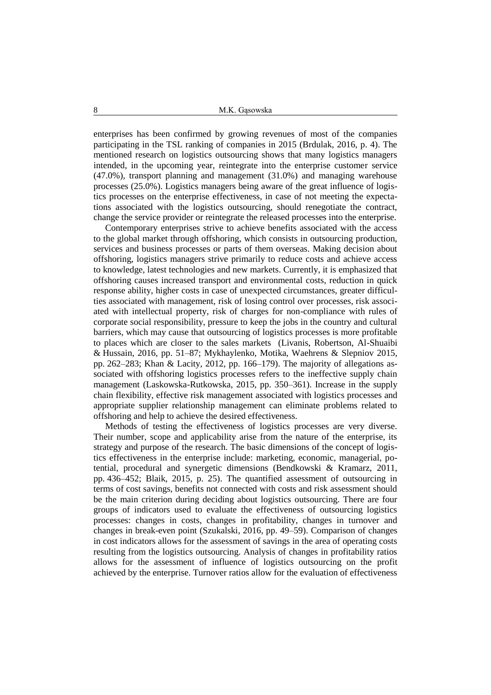enterprises has been confirmed by growing revenues of most of the companies participating in the TSL ranking of companies in 2015 (Brdulak, 2016, p. 4). The mentioned research on logistics outsourcing shows that many logistics managers intended, in the upcoming year, reintegrate into the enterprise customer service (47.0%), transport planning and management (31.0%) and managing warehouse processes (25.0%). Logistics managers being aware of the great influence of logistics processes on the enterprise effectiveness, in case of not meeting the expectations associated with the logistics outsourcing, should renegotiate the contract, change the service provider or reintegrate the released processes into the enterprise.

Contemporary enterprises strive to achieve benefits associated with the access to the global market through offshoring, which consists in outsourcing production, services and business processes or parts of them overseas. Making decision about offshoring, logistics managers strive primarily to reduce costs and achieve access to knowledge, latest technologies and new markets. Currently, it is emphasized that offshoring causes increased transport and environmental costs, reduction in quick response ability, higher costs in case of unexpected circumstances, greater difficulties associated with management, risk of losing control over processes, risk associated with intellectual property, risk of charges for non-compliance with rules of corporate social responsibility, pressure to keep the jobs in the country and cultural barriers, which may cause that outsourcing of logistics processes is more profitable to places which are closer to the sales markets (Livanis, Robertson, Al-Shuaibi & Hussain, 2016, pp. 51–87; Mykhaylenko, Motika, Waehrens & Slepniov 2015, pp. 262–283; Khan & Lacity, 2012, pp. 166–179). The majority of allegations associated with offshoring logistics processes refers to the ineffective supply chain management (Laskowska-Rutkowska, 2015, pp. 350–361). Increase in the supply chain flexibility, effective risk management associated with logistics processes and appropriate supplier relationship management can eliminate problems related to offshoring and help to achieve the desired effectiveness.

Methods of testing the effectiveness of logistics processes are very diverse. Their number, scope and applicability arise from the nature of the enterprise, its strategy and purpose of the research. The basic dimensions of the concept of logistics effectiveness in the enterprise include: marketing, economic, managerial, potential, procedural and synergetic dimensions (Bendkowski & Kramarz, 2011, pp. 436–452; Blaik, 2015, p. 25). The quantified assessment of outsourcing in terms of cost savings, benefits not connected with costs and risk assessment should be the main criterion during deciding about logistics outsourcing. There are four groups of indicators used to evaluate the effectiveness of outsourcing logistics processes: changes in costs, changes in profitability, changes in turnover and changes in break-even point (Szukalski, 2016, pp. 49–59). Comparison of changes in cost indicators allows for the assessment of savings in the area of operating costs resulting from the logistics outsourcing. Analysis of changes in profitability ratios allows for the assessment of influence of logistics outsourcing on the profit achieved by the enterprise. Turnover ratios allow for the evaluation of effectiveness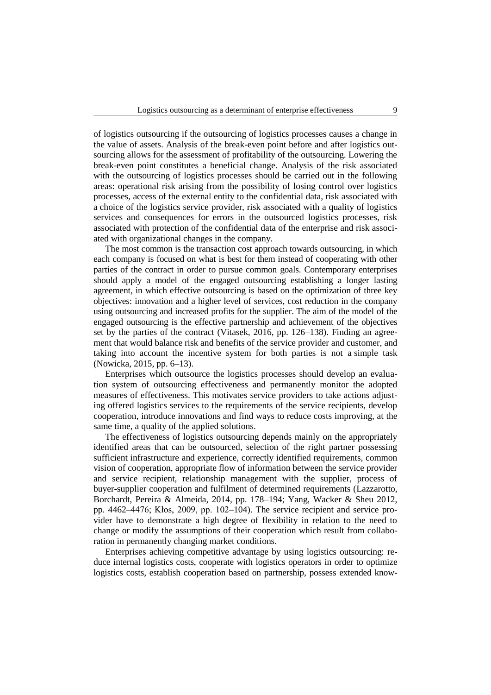of logistics outsourcing if the outsourcing of logistics processes causes a change in the value of assets. Analysis of the break-even point before and after logistics outsourcing allows for the assessment of profitability of the outsourcing. Lowering the break-even point constitutes a beneficial change. Analysis of the risk associated with the outsourcing of logistics processes should be carried out in the following areas: operational risk arising from the possibility of losing control over logistics processes, access of the external entity to the confidential data, risk associated with a choice of the logistics service provider, risk associated with a quality of logistics services and consequences for errors in the outsourced logistics processes, risk associated with protection of the confidential data of the enterprise and risk associated with organizational changes in the company.

The most common is the transaction cost approach towards outsourcing, in which each company is focused on what is best for them instead of cooperating with other parties of the contract in order to pursue common goals. Contemporary enterprises should apply a model of the engaged outsourcing establishing a longer lasting agreement, in which effective outsourcing is based on the optimization of three key objectives: innovation and a higher level of services, cost reduction in the company using outsourcing and increased profits for the supplier. The aim of the model of the engaged outsourcing is the effective partnership and achievement of the objectives set by the parties of the contract (Vitasek, 2016, pp. 126–138). Finding an agreement that would balance risk and benefits of the service provider and customer, and taking into account the incentive system for both parties is not a simple task (Nowicka, 2015, pp. 6–13).

Enterprises which outsource the logistics processes should develop an evaluation system of outsourcing effectiveness and permanently monitor the adopted measures of effectiveness. This motivates service providers to take actions adjusting offered logistics services to the requirements of the service recipients, develop cooperation, introduce innovations and find ways to reduce costs improving, at the same time, a quality of the applied solutions.

The effectiveness of logistics outsourcing depends mainly on the appropriately identified areas that can be outsourced, selection of the right partner possessing sufficient infrastructure and experience, correctly identified requirements, common vision of cooperation, appropriate flow of information between the service provider and service recipient, relationship management with the supplier, process of buyer-supplier cooperation and fulfilment of determined requirements (Lazzarotto, Borchardt, Pereira & Almeida, 2014, pp. 178–194; Yang, Wacker & Sheu 2012, pp. 4462–4476; Kłos, 2009, pp. 102–104). The service recipient and service provider have to demonstrate a high degree of flexibility in relation to the need to change or modify the assumptions of their cooperation which result from collaboration in permanently changing market conditions.

Enterprises achieving competitive advantage by using logistics outsourcing: reduce internal logistics costs, cooperate with logistics operators in order to optimize logistics costs, establish cooperation based on partnership, possess extended know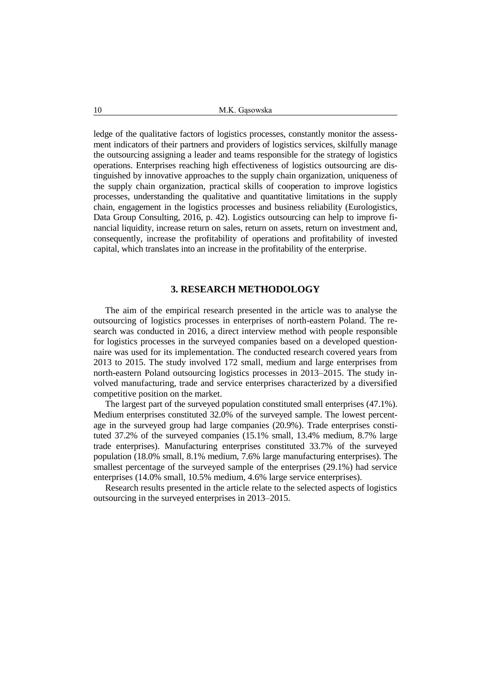ledge of the qualitative factors of logistics processes, constantly monitor the assessment indicators of their partners and providers of logistics services, skilfully manage the outsourcing assigning a leader and teams responsible for the strategy of logistics operations. Enterprises reaching high effectiveness of logistics outsourcing are distinguished by innovative approaches to the supply chain organization, uniqueness of the supply chain organization, practical skills of cooperation to improve logistics processes, understanding the qualitative and quantitative limitations in the supply chain, engagement in the logistics processes and business reliability (Eurologistics, Data Group Consulting, 2016, p. 42). Logistics outsourcing can help to improve financial liquidity, increase return on sales, return on assets, return on investment and, consequently, increase the profitability of operations and profitability of invested capital, which translates into an increase in the profitability of the enterprise.

### **3. RESEARCH METHODOLOGY**

The aim of the empirical research presented in the article was to analyse the outsourcing of logistics processes in enterprises of north-eastern Poland. The research was conducted in 2016, a direct interview method with people responsible for logistics processes in the surveyed companies based on a developed questionnaire was used for its implementation. The conducted research covered years from 2013 to 2015. The study involved 172 small, medium and large enterprises from north-eastern Poland outsourcing logistics processes in 2013–2015. The study involved manufacturing, trade and service enterprises characterized by a diversified competitive position on the market.

The largest part of the surveyed population constituted small enterprises (47.1%). Medium enterprises constituted 32.0% of the surveyed sample. The lowest percentage in the surveyed group had large companies (20.9%). Trade enterprises constituted 37.2% of the surveyed companies (15.1% small, 13.4% medium, 8.7% large trade enterprises). Manufacturing enterprises constituted 33.7% of the surveyed population (18.0% small, 8.1% medium, 7.6% large manufacturing enterprises). The smallest percentage of the surveyed sample of the enterprises (29.1%) had service enterprises (14.0% small, 10.5% medium, 4.6% large service enterprises).

Research results presented in the article relate to the selected aspects of logistics outsourcing in the surveyed enterprises in 2013–2015.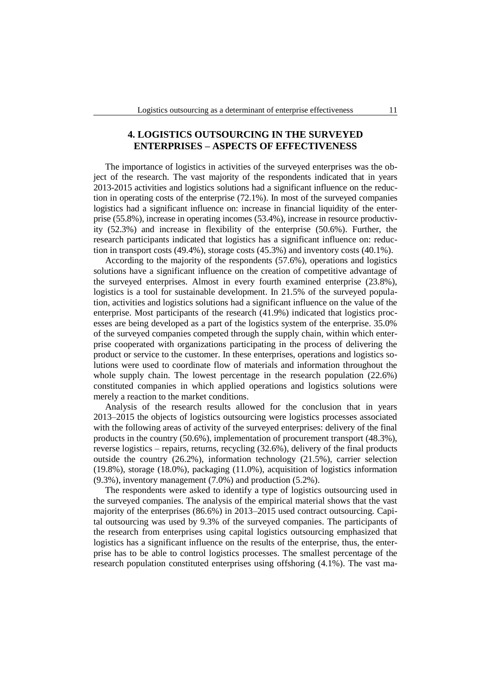# **4. LOGISTICS OUTSOURCING IN THE SURVEYED ENTERPRISES – ASPECTS OF EFFECTIVENESS**

The importance of logistics in activities of the surveyed enterprises was the object of the research. The vast majority of the respondents indicated that in years 2013-2015 activities and logistics solutions had a significant influence on the reduction in operating costs of the enterprise (72.1%). In most of the surveyed companies logistics had a significant influence on: increase in financial liquidity of the enterprise (55.8%), increase in operating incomes (53.4%), increase in resource productivity (52.3%) and increase in flexibility of the enterprise (50.6%). Further, the research participants indicated that logistics has a significant influence on: reduction in transport costs (49.4%), storage costs (45.3%) and inventory costs (40.1%).

According to the majority of the respondents (57.6%), operations and logistics solutions have a significant influence on the creation of competitive advantage of the surveyed enterprises. Almost in every fourth examined enterprise (23.8%), logistics is a tool for sustainable development. In 21.5% of the surveyed population, activities and logistics solutions had a significant influence on the value of the enterprise. Most participants of the research (41.9%) indicated that logistics processes are being developed as a part of the logistics system of the enterprise. 35.0% of the surveyed companies competed through the supply chain, within which enterprise cooperated with organizations participating in the process of delivering the product or service to the customer. In these enterprises, operations and logistics solutions were used to coordinate flow of materials and information throughout the whole supply chain. The lowest percentage in the research population  $(22.6%)$ constituted companies in which applied operations and logistics solutions were merely a reaction to the market conditions.

Analysis of the research results allowed for the conclusion that in years 2013–2015 the objects of logistics outsourcing were logistics processes associated with the following areas of activity of the surveyed enterprises: delivery of the final products in the country (50.6%), implementation of procurement transport (48.3%), reverse logistics – repairs, returns, recycling (32.6%), delivery of the final products outside the country (26.2%), information technology (21.5%), carrier selection (19.8%), storage (18.0%), packaging (11.0%), acquisition of logistics information (9.3%), inventory management (7.0%) and production (5.2%).

The respondents were asked to identify a type of logistics outsourcing used in the surveyed companies. The analysis of the empirical material shows that the vast majority of the enterprises (86.6%) in 2013–2015 used contract outsourcing. Capital outsourcing was used by 9.3% of the surveyed companies. The participants of the research from enterprises using capital logistics outsourcing emphasized that logistics has a significant influence on the results of the enterprise, thus, the enterprise has to be able to control logistics processes. The smallest percentage of the research population constituted enterprises using offshoring (4.1%). The vast ma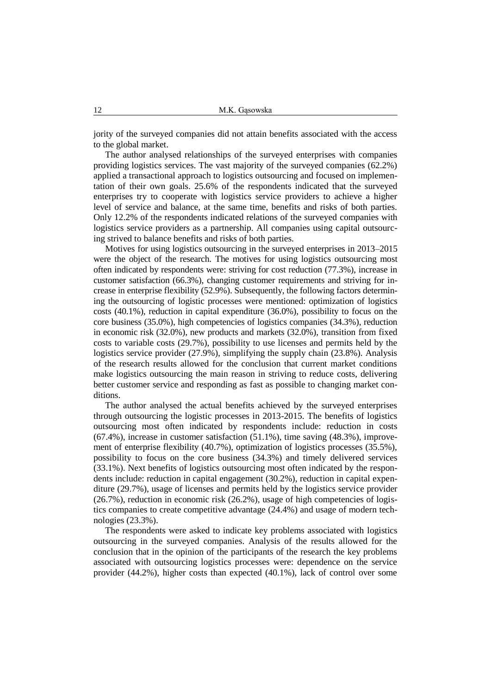jority of the surveyed companies did not attain benefits associated with the access to the global market.

The author analysed relationships of the surveyed enterprises with companies providing logistics services. The vast majority of the surveyed companies (62.2%) applied a transactional approach to logistics outsourcing and focused on implementation of their own goals. 25.6% of the respondents indicated that the surveyed enterprises try to cooperate with logistics service providers to achieve a higher level of service and balance, at the same time, benefits and risks of both parties. Only 12.2% of the respondents indicated relations of the surveyed companies with logistics service providers as a partnership. All companies using capital outsourcing strived to balance benefits and risks of both parties.

Motives for using logistics outsourcing in the surveyed enterprises in 2013–2015 were the object of the research. The motives for using logistics outsourcing most often indicated by respondents were: striving for cost reduction (77.3%), increase in customer satisfaction (66.3%), changing customer requirements and striving for increase in enterprise flexibility (52.9%). Subsequently, the following factors determining the outsourcing of logistic processes were mentioned: optimization of logistics costs (40.1%), reduction in capital expenditure (36.0%), possibility to focus on the core business (35.0%), high competencies of logistics companies (34.3%), reduction in economic risk (32.0%), new products and markets (32.0%), transition from fixed costs to variable costs (29.7%), possibility to use licenses and permits held by the logistics service provider (27.9%), simplifying the supply chain (23.8%). Analysis of the research results allowed for the conclusion that current market conditions make logistics outsourcing the main reason in striving to reduce costs, delivering better customer service and responding as fast as possible to changing market conditions.

The author analysed the actual benefits achieved by the surveyed enterprises through outsourcing the logistic processes in 2013-2015. The benefits of logistics outsourcing most often indicated by respondents include: reduction in costs (67.4%), increase in customer satisfaction (51.1%), time saving (48.3%), improvement of enterprise flexibility (40.7%), optimization of logistics processes (35.5%), possibility to focus on the core business (34.3%) and timely delivered services (33.1%). Next benefits of logistics outsourcing most often indicated by the respondents include: reduction in capital engagement (30.2%), reduction in capital expenditure (29.7%), usage of licenses and permits held by the logistics service provider (26.7%), reduction in economic risk (26.2%), usage of high competencies of logistics companies to create competitive advantage (24.4%) and usage of modern technologies (23.3%).

The respondents were asked to indicate key problems associated with logistics outsourcing in the surveyed companies. Analysis of the results allowed for the conclusion that in the opinion of the participants of the research the key problems associated with outsourcing logistics processes were: dependence on the service provider (44.2%), higher costs than expected (40.1%), lack of control over some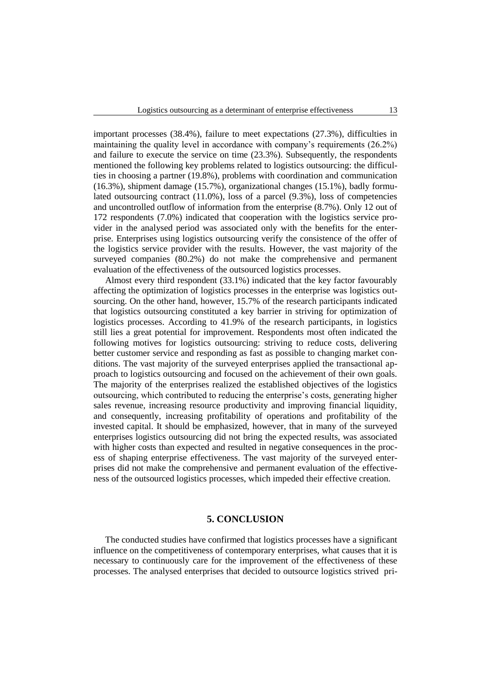important processes (38.4%), failure to meet expectations (27.3%), difficulties in maintaining the quality level in accordance with company's requirements (26.2%) and failure to execute the service on time (23.3%). Subsequently, the respondents mentioned the following key problems related to logistics outsourcing: the difficulties in choosing a partner (19.8%), problems with coordination and communication (16.3%), shipment damage (15.7%), organizational changes (15.1%), badly formulated outsourcing contract (11.0%), loss of a parcel (9.3%), loss of competencies and uncontrolled outflow of information from the enterprise (8.7%). Only 12 out of 172 respondents (7.0%) indicated that cooperation with the logistics service provider in the analysed period was associated only with the benefits for the enterprise. Enterprises using logistics outsourcing verify the consistence of the offer of the logistics service provider with the results. However, the vast majority of the surveyed companies (80.2%) do not make the comprehensive and permanent evaluation of the effectiveness of the outsourced logistics processes.

Almost every third respondent (33.1%) indicated that the key factor favourably affecting the optimization of logistics processes in the enterprise was logistics outsourcing. On the other hand, however, 15.7% of the research participants indicated that logistics outsourcing constituted a key barrier in striving for optimization of logistics processes. According to 41.9% of the research participants, in logistics still lies a great potential for improvement. Respondents most often indicated the following motives for logistics outsourcing: striving to reduce costs, delivering better customer service and responding as fast as possible to changing market conditions. The vast majority of the surveyed enterprises applied the transactional approach to logistics outsourcing and focused on the achievement of their own goals. The majority of the enterprises realized the established objectives of the logistics outsourcing, which contributed to reducing the enterprise's costs, generating higher sales revenue, increasing resource productivity and improving financial liquidity, and consequently, increasing profitability of operations and profitability of the invested capital. It should be emphasized, however, that in many of the surveyed enterprises logistics outsourcing did not bring the expected results, was associated with higher costs than expected and resulted in negative consequences in the process of shaping enterprise effectiveness. The vast majority of the surveyed enterprises did not make the comprehensive and permanent evaluation of the effectiveness of the outsourced logistics processes, which impeded their effective creation.

### **5. CONCLUSION**

The conducted studies have confirmed that logistics processes have a significant influence on the competitiveness of contemporary enterprises, what causes that it is necessary to continuously care for the improvement of the effectiveness of these processes. The analysed enterprises that decided to outsource logistics strived pri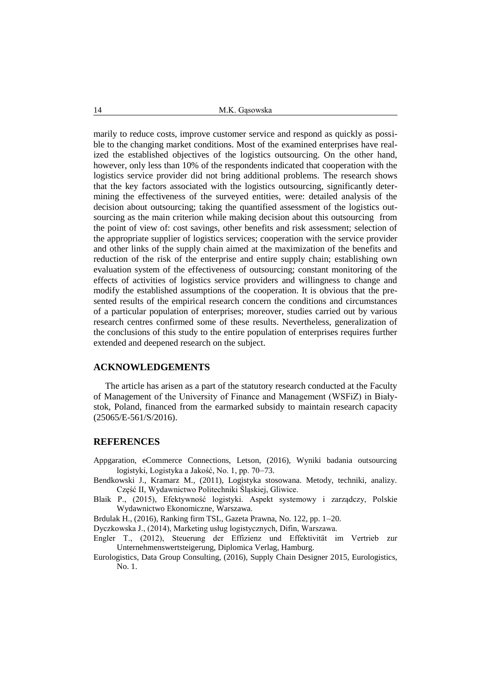marily to reduce costs, improve customer service and respond as quickly as possible to the changing market conditions. Most of the examined enterprises have realized the established objectives of the logistics outsourcing. On the other hand, however, only less than 10% of the respondents indicated that cooperation with the logistics service provider did not bring additional problems. The research shows that the key factors associated with the logistics outsourcing, significantly determining the effectiveness of the surveyed entities, were: detailed analysis of the decision about outsourcing; taking the quantified assessment of the logistics outsourcing as the main criterion while making decision about this outsourcing from the point of view of: cost savings, other benefits and risk assessment; selection of the appropriate supplier of logistics services; cooperation with the service provider and other links of the supply chain aimed at the maximization of the benefits and reduction of the risk of the enterprise and entire supply chain; establishing own evaluation system of the effectiveness of outsourcing; constant monitoring of the effects of activities of logistics service providers and willingness to change and modify the established assumptions of the cooperation. It is obvious that the presented results of the empirical research concern the conditions and circumstances of a particular population of enterprises; moreover, studies carried out by various research centres confirmed some of these results. Nevertheless, generalization of the conclusions of this study to the entire population of enterprises requires further extended and deepened research on the subject.

### **ACKNOWLEDGEMENTS**

The article has arisen as a part of the statutory research conducted at the Faculty of Management of the University of Finance and Management (WSFiZ) in Białystok, Poland, financed from the earmarked subsidy to maintain research capacity (25065/E-561/S/2016).

#### **REFERENCES**

- Appgaration, eCommerce Connections, Letson, (2016), Wyniki badania outsourcing logistyki, Logistyka a Jakość, No. 1, pp. 70–73.
- Bendkowski J., Kramarz M., (2011), Logistyka stosowana. Metody, techniki, analizy. Część II, Wydawnictwo Politechniki Śląskiej, Gliwice.
- Blaik P., (2015), Efektywność logistyki. Aspekt systemowy i zarządczy, Polskie Wydawnictwo Ekonomiczne, Warszawa.
- Brdulak H., (2016), Ranking firm TSL, Gazeta Prawna, No. 122, pp. 1–20.

Dyczkowska J., (2014), Marketing usług logistycznych, Difin, Warszawa.

- Engler T., (2012), Steuerung der Effizienz und Effektivität im Vertrieb zur Unternehmenswertsteigerung, Diplomica Verlag, Hamburg.
- Eurologistics, Data Group Consulting, (2016), Supply Chain Designer 2015, Eurologistics, No. 1.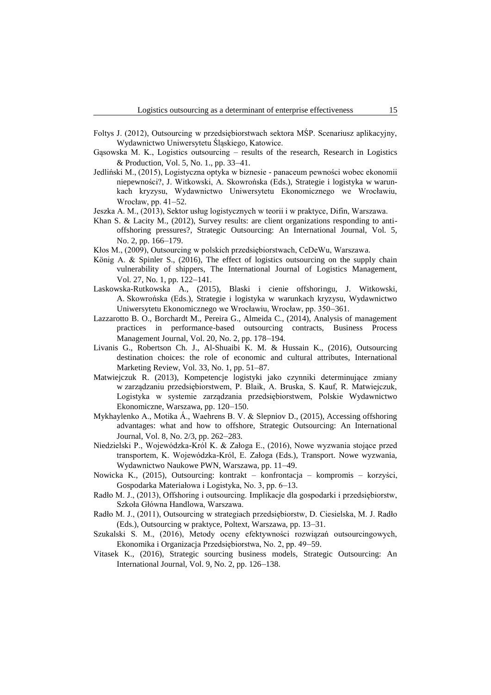- Foltys J. (2012), Outsourcing w przedsiębiorstwach sektora MŚP. Scenariusz aplikacyjny, Wydawnictwo Uniwersytetu Śląskiego, Katowice.
- Gąsowska M. K., Logistics outsourcing results of the research, Research in Logistics & Production, Vol. 5, No. 1., pp. 33–41.
- Jedliński M., (2015), Logistyczna optyka w biznesie panaceum pewności wobec ekonomii niepewności?, J. Witkowski, A. Skowrońska (Eds.), Strategie i logistyka w warunkach kryzysu, Wydawnictwo Uniwersytetu Ekonomicznego we Wrocławiu, Wrocław, pp. 41–52.
- Jeszka A. M., (2013), Sektor usług logistycznych w teorii i w praktyce, Difin, Warszawa.
- Khan S. & Lacity M., (2012), Survey results: are client organizations responding to antioffshoring pressures?, Strategic Outsourcing: An International Journal, Vol. 5, No. 2, pp. 166–179.
- Kłos M., (2009), Outsourcing w polskich przedsiębiorstwach, CeDeWu, Warszawa.
- König A. & Spinler S., (2016), The effect of logistics outsourcing on the supply chain vulnerability of shippers, The International Journal of Logistics Management, Vol. 27, No. 1, pp. 122–141.
- Laskowska-Rutkowska A., (2015), Blaski i cienie offshoringu, J. Witkowski, A. Skowrońska (Eds.), Strategie i logistyka w warunkach kryzysu, Wydawnictwo Uniwersytetu Ekonomicznego we Wrocławiu, Wrocław, pp. 350–361.
- Lazzarotto B. O., Borchardt M., Pereira G., Almeida C., (2014), Analysis of management practices in performance-based outsourcing contracts, Business Process Management Journal, Vol. 20, No. 2, pp. 178–194.
- Livanis G., Robertson Ch. J., Al-Shuaibi K. M. & Hussain K., (2016), Outsourcing destination choices: the role of economic and cultural attributes, International Marketing Review, Vol. 33, No. 1, pp. 51–87.
- Matwiejczuk R. (2013), Kompetencje logistyki jako czynniki determinujące zmiany w zarządzaniu przedsiębiorstwem, P. Blaik, A. Bruska, S. Kauf, R. Matwiejczuk, Logistyka w systemie zarządzania przedsiębiorstwem, Polskie Wydawnictwo Ekonomiczne, Warszawa, pp. 120–150.
- Mykhaylenko A., Motika Á., Waehrens B. V. & Slepniov D., (2015), Accessing offshoring advantages: what and how to offshore, Strategic Outsourcing: An International Journal, Vol. 8, No. 2/3, pp. 262–283.
- Niedzielski P., Wojewódzka-Król K. & Załoga E., (2016), Nowe wyzwania stojące przed transportem, K. Wojewódzka-Król, E. Załoga (Eds.), Transport. Nowe wyzwania, Wydawnictwo Naukowe PWN, Warszawa, pp. 11–49.
- Nowicka K., (2015), Outsourcing: kontrakt konfrontacja kompromis korzyści, Gospodarka Materiałowa i Logistyka, No. 3, pp. 6–13.
- Radło M. J., (2013), Offshoring i outsourcing. Implikacje dla gospodarki i przedsiębiorstw, Szkoła Główna Handlowa, Warszawa.
- Radło M. J., (2011), Outsourcing w strategiach przedsiębiorstw, D. Ciesielska, M. J. Radło (Eds.), Outsourcing w praktyce, Poltext, Warszawa, pp. 13–31.
- Szukalski S. M., (2016), Metody oceny efektywności rozwiązań outsourcingowych, Ekonomika i Organizacja Przedsiębiorstwa, No. 2, pp. 49–59.
- Vitasek K., (2016), Strategic sourcing business models, Strategic Outsourcing: An International Journal, Vol. 9, No. 2, pp. 126–138.